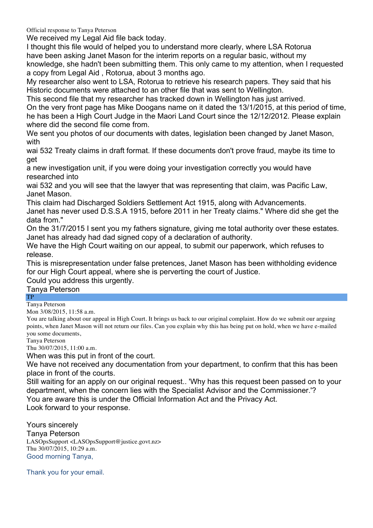Official response to Tanya Peterson

We received my Legal Aid file back today.

I thought this file would of helped you to understand more clearly, where LSA Rotorua have been asking Janet Mason for the interim reports on a regular basic, without my knowledge, she hadn't been submitting them. This only came to my attention, when I requested a copy from Legal Aid , Rotorua, about 3 months ago.

My researcher also went to LSA, Rotorua to retrieve his research papers. They said that his Historic documents were attached to an other file that was sent to Wellington.

This second file that my researcher has tracked down in Wellington has just arrived. On the very front page has Mike Doogans name on it dated the 13/1/2015, at this period of time, he has been a High Court Judge in the Maori Land Court since the 12/12/2012. Please explain

where did the second file come from.

We sent you photos of our documents with dates, legislation been changed by Janet Mason, with

wai 532 Treaty claims in draft format. If these documents don't prove fraud, maybe its time to get

a new investigation unit, if you were doing your investigation correctly you would have researched into

wai 532 and you will see that the lawyer that was representing that claim, was Pacific Law, Janet Mason.

This claim had Discharged Soldiers Settlement Act 1915, along with Advancements. Janet has never used D.S.S.A 1915, before 2011 in her Treaty claims." Where did she get the data from."

On the 31/7/2015 I sent you my fathers signature, giving me total authority over these estates. Janet has already had dad signed copy of a declaration of authority.

We have the High Court waiting on our appeal, to submit our paperwork, which refuses to release.

This is misrepresentation under false pretences, Janet Mason has been withholding evidence for our High Court appeal, where she is perverting the court of Justice.

Could you address this urgently.

## Tanya Peterson

## TP

Tanya Peterson Mon 3/08/2015, 11:58 a.m.

You are talking about our appeal in High Court. It brings us back to our original complaint. How do we submit our arguing points, when Janet Mason will not return our files. Can you explain why this has being put on hold, when we have e-mailed you some documents,

Tanya Peterson

Thu 30/07/2015, 11:00 a.m.

When was this put in front of the court.

We have not received any documentation from your department, to confirm that this has been place in front of the courts.

Still waiting for an apply on our original request.. 'Why has this request been passed on to your department, when the concern lies with the Specialist Advisor and the Commissioner.'? You are aware this is under the Official Information Act and the Privacy Act. Look forward to your response.

Yours sincerely

Tanya Peterson LASOpsSupport <LASOpsSupport@justice.govt.nz> Thu 30/07/2015, 10:29 a.m. Good morning Tanya,

Thank you for your email.